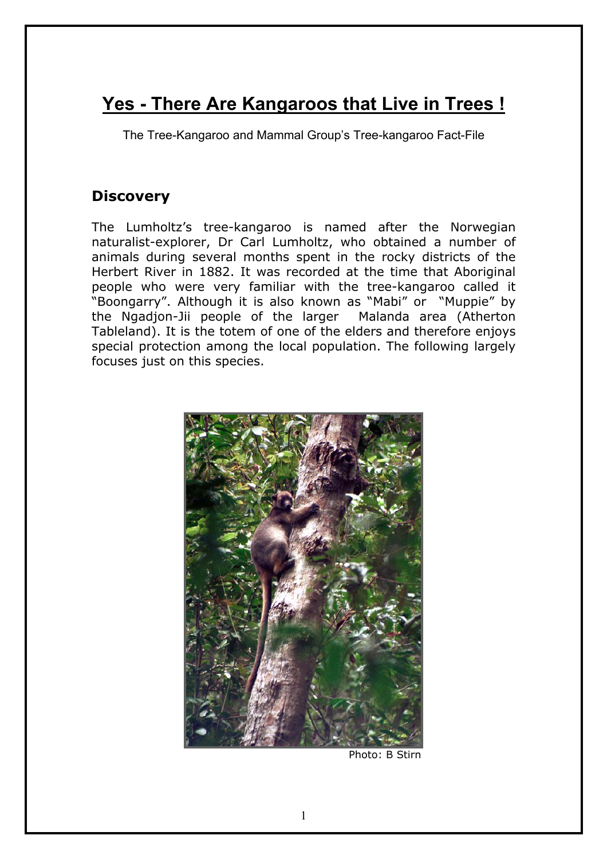# **Yes - There Are Kangaroos that Live in Trees !**

The Tree-Kangaroo and Mammal Group's Tree-kangaroo Fact-File

# **Discovery**

The Lumholtz's tree-kangaroo is named after the Norwegian naturalist-explorer, Dr Carl Lumholtz, who obtained a number of animals during several months spent in the rocky districts of the Herbert River in 1882. It was recorded at the time that Aboriginal people who were very familiar with the tree-kangaroo called it "Boongarry". Although it is also known as "Mabi" or "Muppie" by the Ngadjon-Jii people of the larger Malanda area (Atherton Tableland). It is the totem of one of the elders and therefore enjoys special protection among the local population. The following largely focuses just on this species.



Photo: B Stirn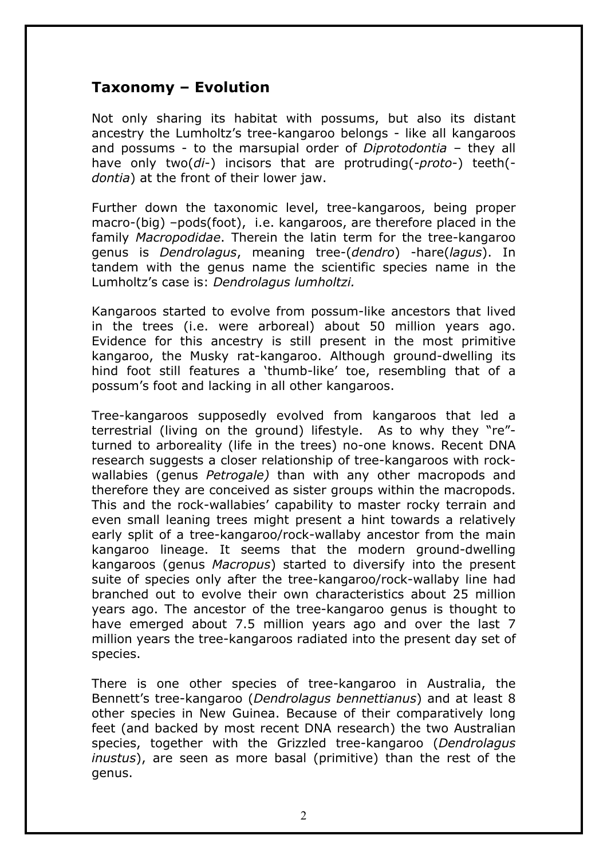### **Taxonomy – Evolution**

Not only sharing its habitat with possums, but also its distant ancestry the Lumholtz's tree-kangaroo belongs - like all kangaroos and possums - to the marsupial order of *Diprotodontia* – they all have only two(*di*-) incisors that are protruding(-*proto*-) teeth( *dontia*) at the front of their lower jaw.

Further down the taxonomic level, tree-kangaroos, being proper macro-(big) –pods(foot), i.e. kangaroos, are therefore placed in the family *Macropodidae*. Therein the latin term for the tree-kangaroo genus is *Dendrolagus*, meaning tree-(*dendro*) -hare(*lagus*). In tandem with the genus name the scientific species name in the Lumholtz's case is: *Dendrolagus lumholtzi.*

Kangaroos started to evolve from possum-like ancestors that lived in the trees (i.e. were arboreal) about 50 million years ago. Evidence for this ancestry is still present in the most primitive kangaroo, the Musky rat-kangaroo. Although ground-dwelling its hind foot still features a 'thumb-like' toe, resembling that of a possum's foot and lacking in all other kangaroos.

Tree-kangaroos supposedly evolved from kangaroos that led a terrestrial (living on the ground) lifestyle. As to why they "re" turned to arboreality (life in the trees) no-one knows. Recent DNA research suggests a closer relationship of tree-kangaroos with rockwallabies (genus *Petrogale)* than with any other macropods and therefore they are conceived as sister groups within the macropods. This and the rock-wallabies' capability to master rocky terrain and even small leaning trees might present a hint towards a relatively early split of a tree-kangaroo/rock-wallaby ancestor from the main kangaroo lineage. It seems that the modern ground-dwelling kangaroos (genus *Macropus*) started to diversify into the present suite of species only after the tree-kangaroo/rock-wallaby line had branched out to evolve their own characteristics about 25 million years ago. The ancestor of the tree-kangaroo genus is thought to have emerged about 7.5 million years ago and over the last 7 million years the tree-kangaroos radiated into the present day set of species.

There is one other species of tree-kangaroo in Australia, the Bennett's tree-kangaroo (*Dendrolagus bennettianus*) and at least 8 other species in New Guinea. Because of their comparatively long feet (and backed by most recent DNA research) the two Australian species, together with the Grizzled tree-kangaroo (*Dendrolagus inustus*), are seen as more basal (primitive) than the rest of the genus.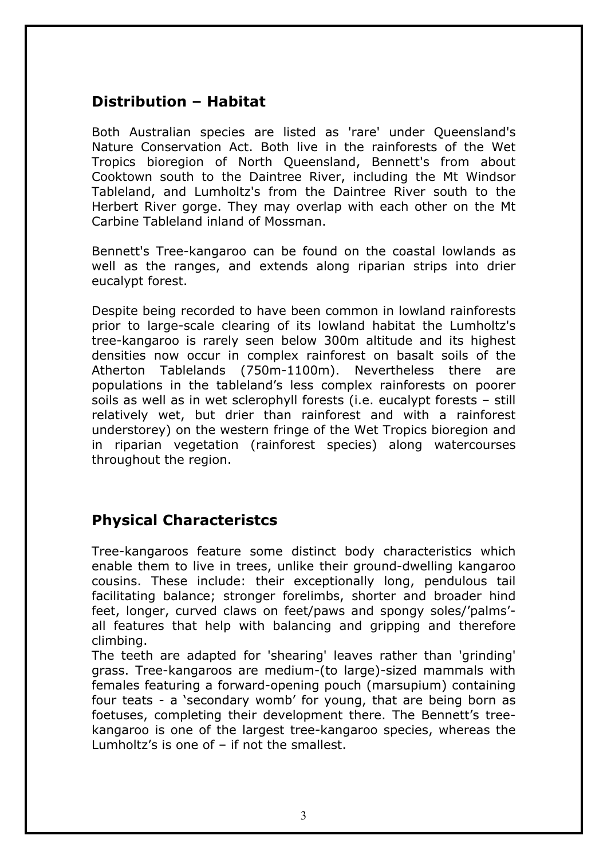### **Distribution – Habitat**

Both Australian species are listed as 'rare' under Queensland's Nature Conservation Act. Both live in the rainforests of the Wet Tropics bioregion of North Queensland, Bennett's from about Cooktown south to the Daintree River, including the Mt Windsor Tableland, and Lumholtz's from the Daintree River south to the Herbert River gorge. They may overlap with each other on the Mt Carbine Tableland inland of Mossman.

Bennett's Tree-kangaroo can be found on the coastal lowlands as well as the ranges, and extends along riparian strips into drier eucalypt forest.

Despite being recorded to have been common in lowland rainforests prior to large-scale clearing of its lowland habitat the Lumholtz's tree-kangaroo is rarely seen below 300m altitude and its highest densities now occur in complex rainforest on basalt soils of the Atherton Tablelands (750m-1100m). Nevertheless there are populations in the tableland's less complex rainforests on poorer soils as well as in wet sclerophyll forests (i.e. eucalypt forests – still relatively wet, but drier than rainforest and with a rainforest understorey) on the western fringe of the Wet Tropics bioregion and in riparian vegetation (rainforest species) along watercourses throughout the region.

### **Physical Characteristcs**

Tree-kangaroos feature some distinct body characteristics which enable them to live in trees, unlike their ground-dwelling kangaroo cousins. These include: their exceptionally long, pendulous tail facilitating balance; stronger forelimbs, shorter and broader hind feet, longer, curved claws on feet/paws and spongy soles/'palms' all features that help with balancing and gripping and therefore climbing.

The teeth are adapted for 'shearing' leaves rather than 'grinding' grass. Tree-kangaroos are medium-(to large)-sized mammals with females featuring a forward-opening pouch (marsupium) containing four teats - a 'secondary womb' for young, that are being born as foetuses, completing their development there. The Bennett's treekangaroo is one of the largest tree-kangaroo species, whereas the Lumholtz's is one of – if not the smallest.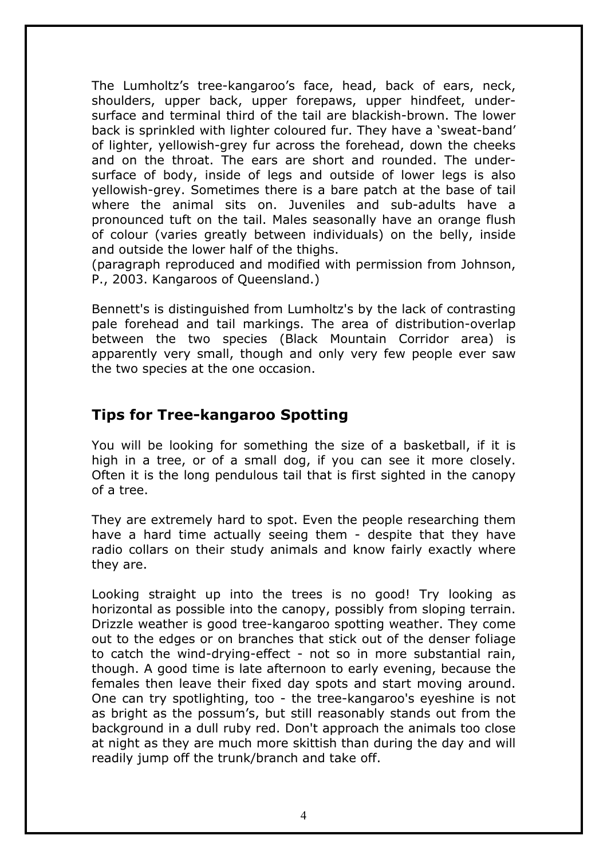The Lumholtz's tree-kangaroo's face, head, back of ears, neck, shoulders, upper back, upper forepaws, upper hindfeet, undersurface and terminal third of the tail are blackish-brown. The lower back is sprinkled with lighter coloured fur. They have a 'sweat-band' of lighter, yellowish-grey fur across the forehead, down the cheeks and on the throat. The ears are short and rounded. The undersurface of body, inside of legs and outside of lower legs is also yellowish-grey. Sometimes there is a bare patch at the base of tail where the animal sits on. Juveniles and sub-adults have a pronounced tuft on the tail. Males seasonally have an orange flush of colour (varies greatly between individuals) on the belly, inside and outside the lower half of the thighs.

(paragraph reproduced and modified with permission from Johnson, P., 2003. Kangaroos of Queensland.)

Bennett's is distinguished from Lumholtz's by the lack of contrasting pale forehead and tail markings. The area of distribution-overlap between the two species (Black Mountain Corridor area) is apparently very small, though and only very few people ever saw the two species at the one occasion.

# **Tips for Tree-kangaroo Spotting**

You will be looking for something the size of a basketball, if it is high in a tree, or of a small dog, if you can see it more closely. Often it is the long pendulous tail that is first sighted in the canopy of a tree.

They are extremely hard to spot. Even the people researching them have a hard time actually seeing them - despite that they have radio collars on their study animals and know fairly exactly where they are.

Looking straight up into the trees is no good! Try looking as horizontal as possible into the canopy, possibly from sloping terrain. Drizzle weather is good tree-kangaroo spotting weather. They come out to the edges or on branches that stick out of the denser foliage to catch the wind-drying-effect - not so in more substantial rain, though. A good time is late afternoon to early evening, because the females then leave their fixed day spots and start moving around. One can try spotlighting, too - the tree-kangaroo's eyeshine is not as bright as the possum's, but still reasonably stands out from the background in a dull ruby red. Don't approach the animals too close at night as they are much more skittish than during the day and will readily jump off the trunk/branch and take off.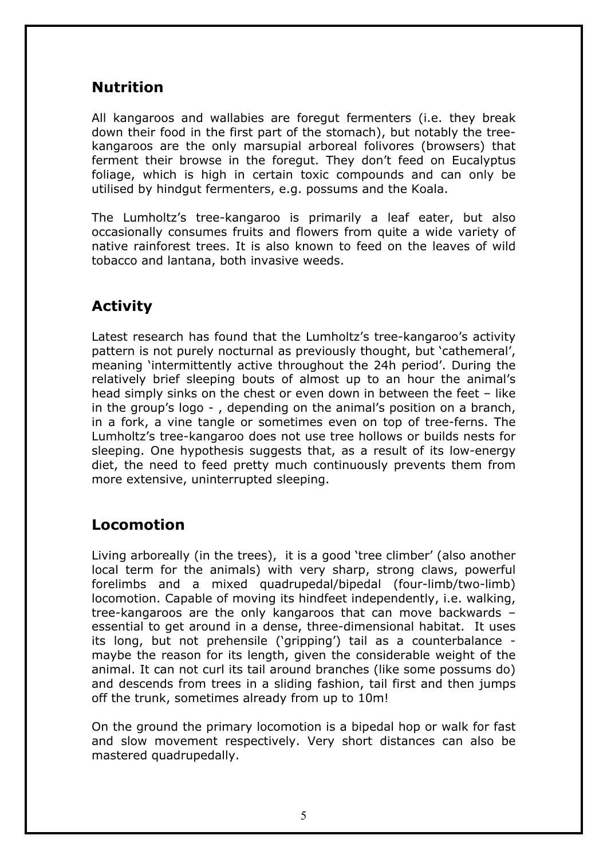# **Nutrition**

All kangaroos and wallabies are foregut fermenters (i.e. they break down their food in the first part of the stomach), but notably the treekangaroos are the only marsupial arboreal folivores (browsers) that ferment their browse in the foregut. They don't feed on Eucalyptus foliage, which is high in certain toxic compounds and can only be utilised by hindgut fermenters, e.g. possums and the Koala.

The Lumholtz's tree-kangaroo is primarily a leaf eater, but also occasionally consumes fruits and flowers from quite a wide variety of native rainforest trees. It is also known to feed on the leaves of wild tobacco and lantana, both invasive weeds.

# **Activity**

Latest research has found that the Lumholtz's tree-kangaroo's activity pattern is not purely nocturnal as previously thought, but 'cathemeral', meaning 'intermittently active throughout the 24h period'. During the relatively brief sleeping bouts of almost up to an hour the animal's head simply sinks on the chest or even down in between the feet – like in the group's logo - , depending on the animal's position on a branch, in a fork, a vine tangle or sometimes even on top of tree-ferns. The Lumholtz's tree-kangaroo does not use tree hollows or builds nests for sleeping. One hypothesis suggests that, as a result of its low-energy diet, the need to feed pretty much continuously prevents them from more extensive, uninterrupted sleeping.

### **Locomotion**

Living arboreally (in the trees), it is a good 'tree climber' (also another local term for the animals) with very sharp, strong claws, powerful forelimbs and a mixed quadrupedal/bipedal (four-limb/two-limb) locomotion. Capable of moving its hindfeet independently, i.e. walking, tree-kangaroos are the only kangaroos that can move backwards – essential to get around in a dense, three-dimensional habitat. It uses its long, but not prehensile ('gripping') tail as a counterbalance maybe the reason for its length, given the considerable weight of the animal. It can not curl its tail around branches (like some possums do) and descends from trees in a sliding fashion, tail first and then jumps off the trunk, sometimes already from up to 10m!

On the ground the primary locomotion is a bipedal hop or walk for fast and slow movement respectively. Very short distances can also be mastered quadrupedally.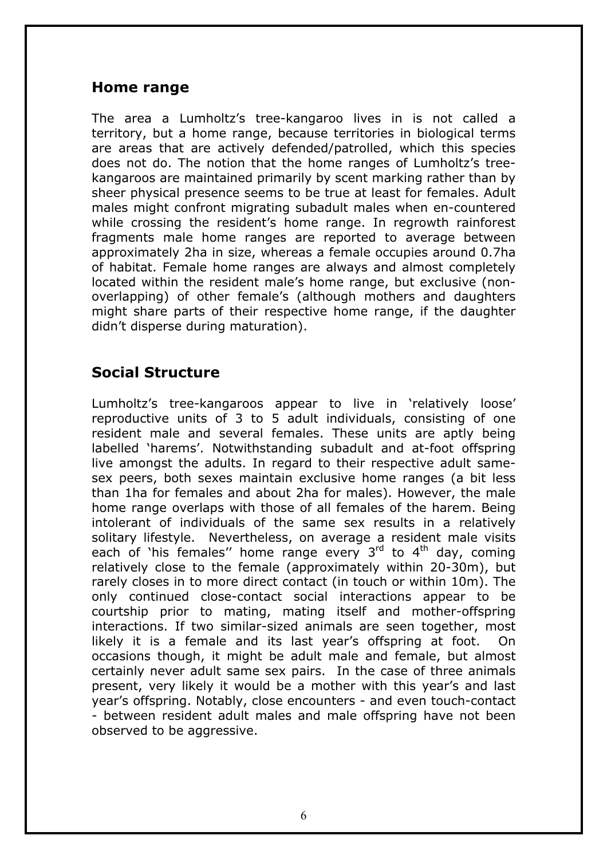#### **Home range**

The area a Lumholtz's tree-kangaroo lives in is not called a territory, but a home range, because territories in biological terms are areas that are actively defended/patrolled, which this species does not do. The notion that the home ranges of Lumholtz's treekangaroos are maintained primarily by scent marking rather than by sheer physical presence seems to be true at least for females. Adult males might confront migrating subadult males when en-countered while crossing the resident's home range. In regrowth rainforest fragments male home ranges are reported to average between approximately 2ha in size, whereas a female occupies around 0.7ha of habitat. Female home ranges are always and almost completely located within the resident male's home range, but exclusive (nonoverlapping) of other female's (although mothers and daughters might share parts of their respective home range, if the daughter didn't disperse during maturation).

# **Social Structure**

Lumholtz's tree-kangaroos appear to live in 'relatively loose' reproductive units of 3 to 5 adult individuals, consisting of one resident male and several females. These units are aptly being labelled 'harems'. Notwithstanding subadult and at-foot offspring live amongst the adults. In regard to their respective adult samesex peers, both sexes maintain exclusive home ranges (a bit less than 1ha for females and about 2ha for males). However, the male home range overlaps with those of all females of the harem. Being intolerant of individuals of the same sex results in a relatively solitary lifestyle. Nevertheless, on average a resident male visits each of 'his females'' home range every  $3<sup>rd</sup>$  to  $4<sup>th</sup>$  day, coming relatively close to the female (approximately within 20-30m), but rarely closes in to more direct contact (in touch or within 10m). The only continued close-contact social interactions appear to be courtship prior to mating, mating itself and mother-offspring interactions. If two similar-sized animals are seen together, most likely it is a female and its last year's offspring at foot. On occasions though, it might be adult male and female, but almost certainly never adult same sex pairs. In the case of three animals present, very likely it would be a mother with this year's and last year's offspring. Notably, close encounters - and even touch-contact - between resident adult males and male offspring have not been observed to be aggressive.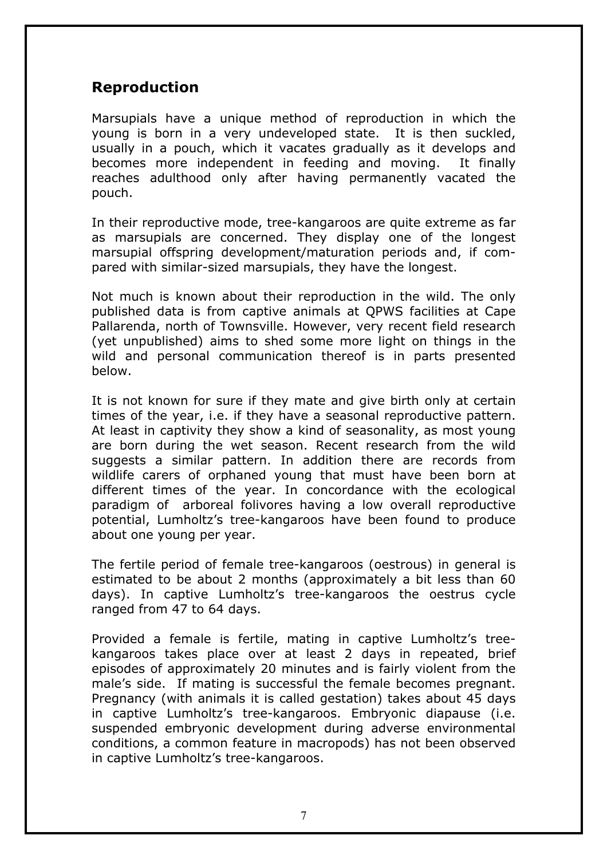### **Reproduction**

Marsupials have a unique method of reproduction in which the young is born in a very undeveloped state. It is then suckled, usually in a pouch, which it vacates gradually as it develops and becomes more independent in feeding and moving. It finally reaches adulthood only after having permanently vacated the pouch.

In their reproductive mode, tree-kangaroos are quite extreme as far as marsupials are concerned. They display one of the longest marsupial offspring development/maturation periods and, if compared with similar-sized marsupials, they have the longest.

Not much is known about their reproduction in the wild. The only published data is from captive animals at QPWS facilities at Cape Pallarenda, north of Townsville. However, very recent field research (yet unpublished) aims to shed some more light on things in the wild and personal communication thereof is in parts presented below.

It is not known for sure if they mate and give birth only at certain times of the year, i.e. if they have a seasonal reproductive pattern. At least in captivity they show a kind of seasonality, as most young are born during the wet season. Recent research from the wild suggests a similar pattern. In addition there are records from wildlife carers of orphaned young that must have been born at different times of the year. In concordance with the ecological paradigm of arboreal folivores having a low overall reproductive potential, Lumholtz's tree-kangaroos have been found to produce about one young per year.

The fertile period of female tree-kangaroos (oestrous) in general is estimated to be about 2 months (approximately a bit less than 60 days). In captive Lumholtz's tree-kangaroos the oestrus cycle ranged from 47 to 64 days.

Provided a female is fertile, mating in captive Lumholtz's treekangaroos takes place over at least 2 days in repeated, brief episodes of approximately 20 minutes and is fairly violent from the male's side. If mating is successful the female becomes pregnant. Pregnancy (with animals it is called gestation) takes about 45 days in captive Lumholtz's tree-kangaroos. Embryonic diapause (i.e. suspended embryonic development during adverse environmental conditions, a common feature in macropods) has not been observed in captive Lumholtz's tree-kangaroos.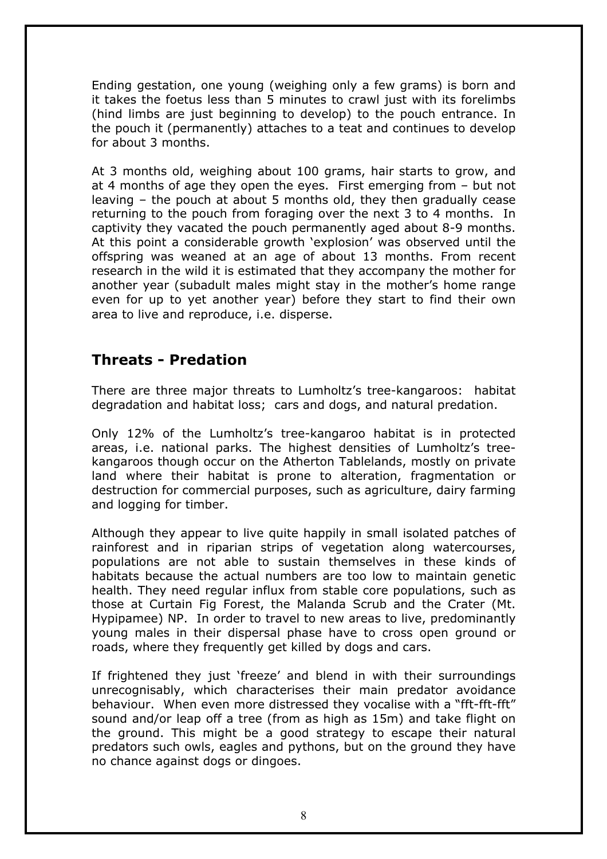Ending gestation, one young (weighing only a few grams) is born and it takes the foetus less than 5 minutes to crawl just with its forelimbs (hind limbs are just beginning to develop) to the pouch entrance. In the pouch it (permanently) attaches to a teat and continues to develop for about 3 months.

At 3 months old, weighing about 100 grams, hair starts to grow, and at 4 months of age they open the eyes. First emerging from – but not leaving – the pouch at about 5 months old, they then gradually cease returning to the pouch from foraging over the next 3 to 4 months. In captivity they vacated the pouch permanently aged about 8-9 months. At this point a considerable growth 'explosion' was observed until the offspring was weaned at an age of about 13 months. From recent research in the wild it is estimated that they accompany the mother for another year (subadult males might stay in the mother's home range even for up to yet another year) before they start to find their own area to live and reproduce, i.e. disperse.

### **Threats - Predation**

There are three major threats to Lumholtz's tree-kangaroos: habitat degradation and habitat loss; cars and dogs, and natural predation.

Only 12% of the Lumholtz's tree-kangaroo habitat is in protected areas, i.e. national parks. The highest densities of Lumholtz's treekangaroos though occur on the Atherton Tablelands, mostly on private land where their habitat is prone to alteration, fragmentation or destruction for commercial purposes, such as agriculture, dairy farming and logging for timber.

Although they appear to live quite happily in small isolated patches of rainforest and in riparian strips of vegetation along watercourses, populations are not able to sustain themselves in these kinds of habitats because the actual numbers are too low to maintain genetic health. They need regular influx from stable core populations, such as those at Curtain Fig Forest, the Malanda Scrub and the Crater (Mt. Hypipamee) NP. In order to travel to new areas to live, predominantly young males in their dispersal phase have to cross open ground or roads, where they frequently get killed by dogs and cars.

If frightened they just 'freeze' and blend in with their surroundings unrecognisably, which characterises their main predator avoidance behaviour. When even more distressed they vocalise with a "fft-fft-fft" sound and/or leap off a tree (from as high as 15m) and take flight on the ground. This might be a good strategy to escape their natural predators such owls, eagles and pythons, but on the ground they have no chance against dogs or dingoes.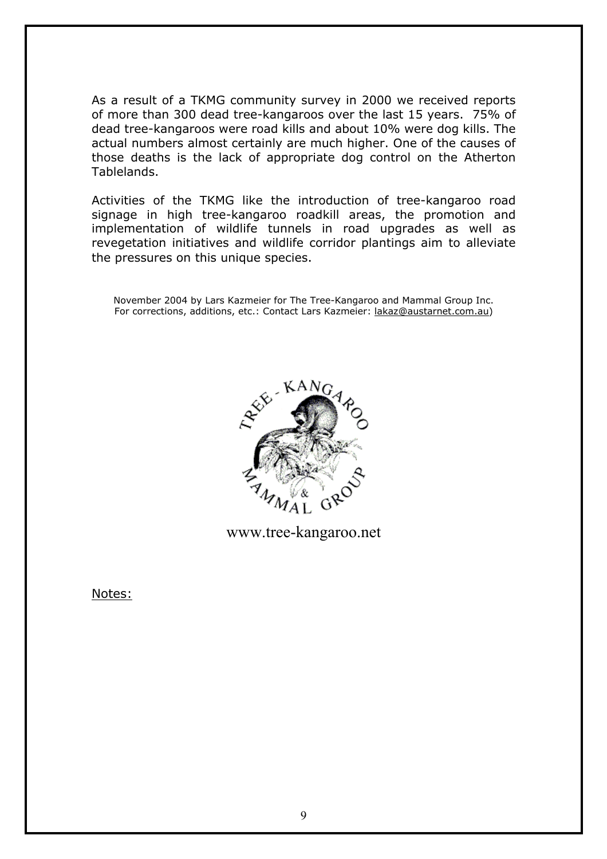As a result of a TKMG community survey in 2000 we received reports of more than 300 dead tree-kangaroos over the last 15 years. 75% of dead tree-kangaroos were road kills and about 10% were dog kills. The actual numbers almost certainly are much higher. One of the causes of those deaths is the lack of appropriate dog control on the Atherton Tablelands.

Activities of the TKMG like the introduction of tree-kangaroo road signage in high tree-kangaroo roadkill areas, the promotion and implementation of wildlife tunnels in road upgrades as well as revegetation initiatives and wildlife corridor plantings aim to alleviate the pressures on this unique species.

November 2004 by Lars Kazmeier for The Tree-Kangaroo and Mammal Group Inc. For corrections, additions, etc.: Contact Lars Kazmeier: [lakaz@austarnet.com.au](mailto:lakaz@austarnet.com.au))



www.tree-kangaroo.net

Notes: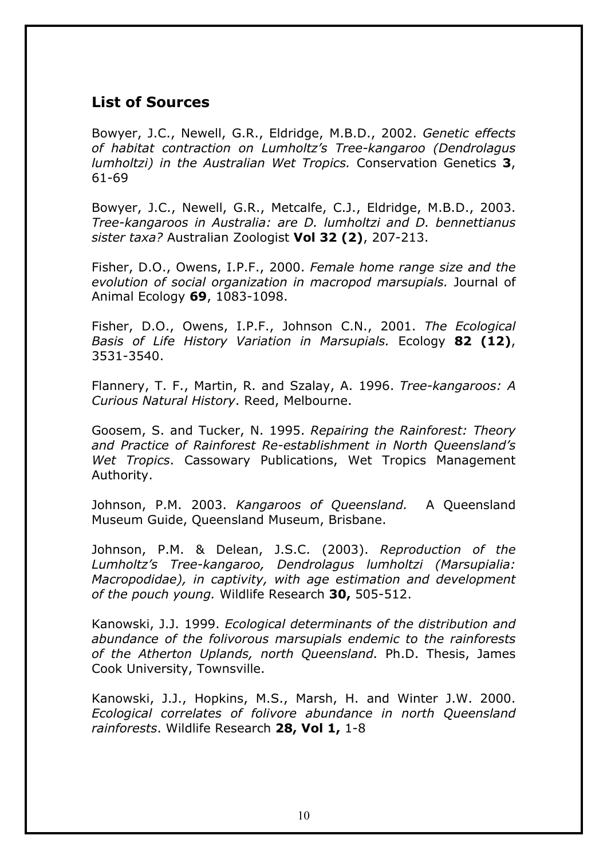### **List of Sources**

Bowyer, J.C., Newell, G.R., Eldridge, M.B.D., 2002. *Genetic effects of habitat contraction on Lumholtz's Tree-kangaroo (Dendrolagus lumholtzi) in the Australian Wet Tropics.* Conservation Genetics **3**, 61-69

Bowyer, J.C., Newell, G.R., Metcalfe, C.J., Eldridge, M.B.D., 2003. *Tree-kangaroos in Australia: are D. lumholtzi and D. bennettianus sister taxa?* Australian Zoologist **Vol 32 (2)**, 207-213.

Fisher, D.O., Owens, I.P.F., 2000. *Female home range size and the evolution of social organization in macropod marsupials.* Journal of Animal Ecology **69**, 1083-1098.

Fisher, D.O., Owens, I.P.F., Johnson C.N., 2001. *The Ecological Basis of Life History Variation in Marsupials.* Ecology **82 (12)**, 3531-3540.

Flannery, T. F., Martin, R. and Szalay, A. 1996. *Tree-kangaroos: A Curious Natural History*. Reed, Melbourne.

Goosem, S. and Tucker, N. 1995. *Repairing the Rainforest: Theory and Practice of Rainforest Re-establishment in North Queensland's Wet Tropics*. Cassowary Publications, Wet Tropics Management Authority.

Johnson, P.M. 2003. *Kangaroos of Queensland.* A Queensland Museum Guide, Queensland Museum, Brisbane.

Johnson, P.M. & Delean, J.S.C. (2003). *Reproduction of the Lumholtz's Tree-kangaroo, Dendrolagus lumholtzi (Marsupialia: Macropodidae), in captivity, with age estimation and development of the pouch young.* Wildlife Research **30,** 505-512.

Kanowski, J.J. 1999. *Ecological determinants of the distribution and abundance of the folivorous marsupials endemic to the rainforests of the Atherton Uplands, north Queensland.* Ph.D. Thesis, James Cook University, Townsville.

Kanowski, J.J., Hopkins, M.S., Marsh, H. and Winter J.W. 2000. *Ecological correlates of folivore abundance in north Queensland rainforests*. Wildlife Research **28, Vol 1,** 1-8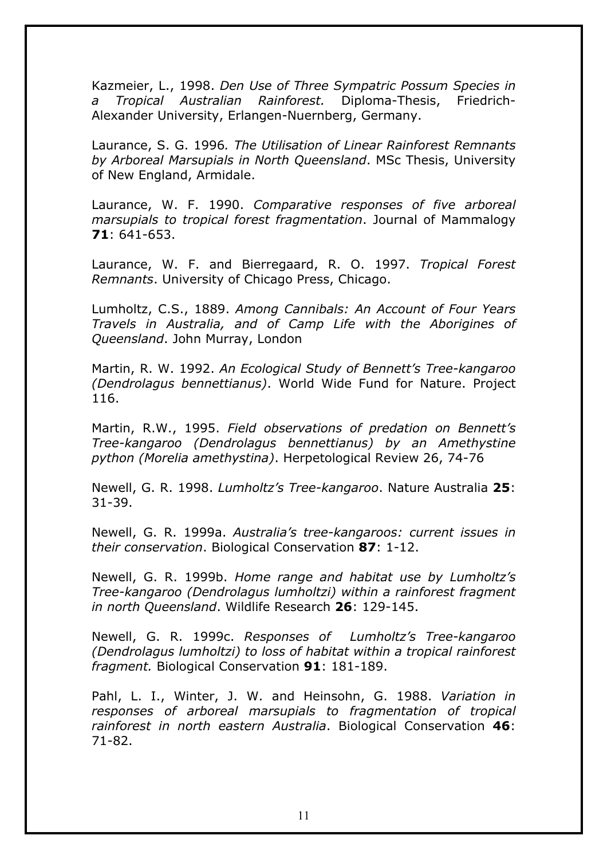Kazmeier, L., 1998. *Den Use of Three Sympatric Possum Species in a Tropical Australian Rainforest.* Diploma-Thesis, Friedrich-Alexander University, Erlangen-Nuernberg, Germany.

Laurance, S. G. 1996*. The Utilisation of Linear Rainforest Remnants by Arboreal Marsupials in North Queensland*. MSc Thesis, University of New England, Armidale.

Laurance, W. F. 1990. *Comparative responses of five arboreal marsupials to tropical forest fragmentation*. Journal of Mammalogy **71**: 641-653.

Laurance, W. F. and Bierregaard, R. O. 1997. *Tropical Forest Remnants*. University of Chicago Press, Chicago.

Lumholtz, C.S., 1889. *Among Cannibals: An Account of Four Years Travels in Australia, and of Camp Life with the Aborigines of Queensland*. John Murray, London

Martin, R. W. 1992. *An Ecological Study of Bennett's Tree-kangaroo (Dendrolagus bennettianus)*. World Wide Fund for Nature. Project 116.

Martin, R.W., 1995. *Field observations of predation on Bennett's Tree-kangaroo (Dendrolagus bennettianus) by an Amethystine python (Morelia amethystina)*. Herpetological Review 26, 74-76

Newell, G. R. 1998. *Lumholtz's Tree-kangaroo*. Nature Australia **25**: 31-39.

Newell, G. R. 1999a. *Australia's tree-kangaroos: current issues in their conservation*. Biological Conservation **87**: 1-12.

Newell, G. R. 1999b. *Home range and habitat use by Lumholtz's Tree-kangaroo (Dendrolagus lumholtzi) within a rainforest fragment in north Queensland*. Wildlife Research **26**: 129-145.

Newell, G. R. 1999c. *Responses of Lumholtz's Tree-kangaroo (Dendrolagus lumholtzi) to loss of habitat within a tropical rainforest fragment.* Biological Conservation **91**: 181-189.

Pahl, L. I., Winter, J. W. and Heinsohn, G. 1988. *Variation in responses of arboreal marsupials to fragmentation of tropical rainforest in north eastern Australia*. Biological Conservation **46**: 71-82.